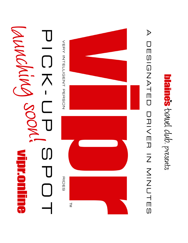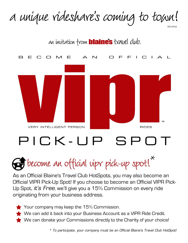#### a unique rideshare's coming to town! BTC-VPUS



# $PICK$ - $UP$

## $\mathcal{F}$  become an official vipr pick-up spot!

As an Official Blaine's Travel Club HotSpots, you may also become an Official VIPR Pick-Up Spot! If you choose to become an Official VIPR Pick-Up Spot, *it's Free*, we'll give you a 15% Commission on every ride originating from your business address.

Your company may keep the 15% Commission.

We can add it back into your Business Account as a VIPR Ride Credit.

We can donate your Commissions directly to the Charity of your choice!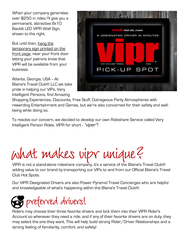When your company generates over \$250 in rides I'll give you a permanant, attractive 8x10 Backlit LED VIPR Wall Sign, shown to the right.

But until then, hang the temporary sign printed on the front page, near your front door letting your patrons know that VIPR will be available from your business.

Atlanta, Georgia, USA -- At Blaine's Travel Club® LLC we take pride in helping our VIPs, Very Intelligent Persons, find Amazing



Shopping Experiences, Discounts, Free Stuff, Outrageous Party Atmospheres with rewarding Entertainment and Games, but we're also concerned for their safety and wellbeing while doing so.

To resolve our concern, we decided to develop our own Rideshare Service called Very Intelligent Person Rides, VIPR for short - *"viper"!*

what makes vipr unique?

VIPR is not a stand-alone rideshare company, it's a service of the Blaine's Travel Club® adding value to our brand by transporting our VIPs to and from our Official Blaine's Travel Club Hot Spots.

Our VIPR Designated Drivers are also Power Pyramid Travel Concierges who are helpful and knowledgeable of what's happening within the Blaine's Travel Club®.



Riders may choose their three favorite drivers and lock them into their VIPR Rider's Account so whenever they need a ride, and if any of their favorite drivers are on duty, they may select the one they want. This will help build strong Rider/Driver Relationships and a strong feeling of familiarity, comfort, and safety!